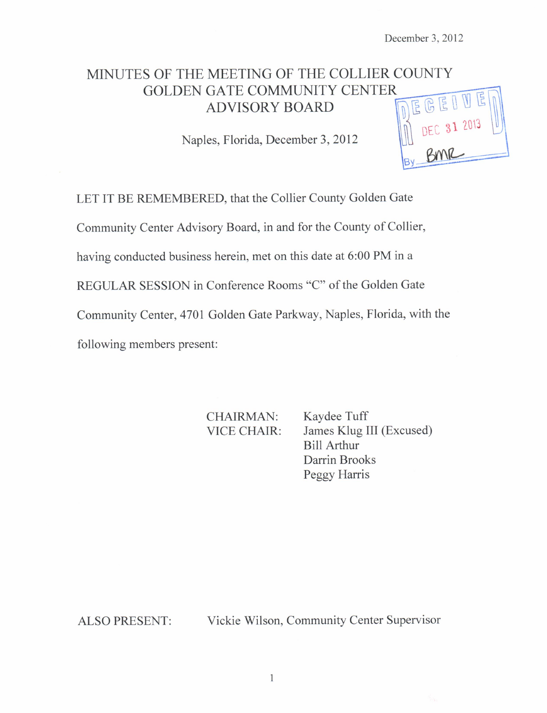# MINUTES OF THE MEETING OF THE COLLIER COUNTY GOLDEN GATE COMMUNITY CENTER MEETING OF THE COLLIER COUNTY<br>
GATE COMMUNITY CENTER<br>
ADVISORY BOARD<br>
es. Florida. December 3. 2012

Naples, Florida, December 3, 2012

LET IT BE REMEMBERED, that the Collier County Golden Gate Community Center Advisory Board, in and for the County of Collier, having conducted business herein, met on this date at 6:00 PM in a REGULAR SESSION in Conference Rooms "C" of the Golden Gate Community Center, 4701 Golden Gate Parkway, Naples, Florida, with the following members present:

CHAIRMAN: Kaydee Tuff VICE CHAIR: James Klug III (Excused) Bill Arthur Darrin Brooks Peggy Harris

ALSO PRESENT: Vickie Wilson, Community Center Supervisor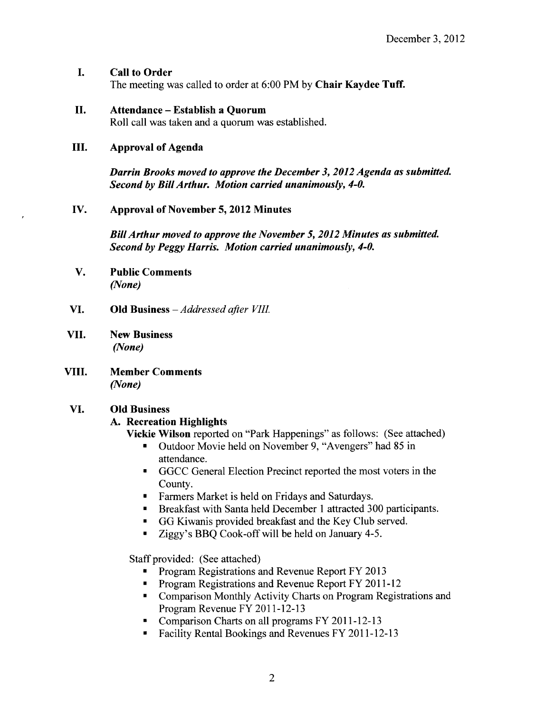## I. Call to Order

The meeting was called to order at 6:00 PM by Chair Kaydee Tuff.

#### II. Attendance — Establish <sup>a</sup> Quorum

Roll call was taken and a quorum was established.

#### III. Approval of Agenda

Darrin Brooks moved to approve the December 3, 2012 Agenda as submitted. Second by Bill Arthur. Motion carried unanimously, 4-0.

## IV. Approval of November 5, 2012 Minutes

BillArthur moved to approve the November 5, 2012 Minutes as submitted. Second by Peggy Harris. Motion carried unanimously, 4-0.

- V. Public Comments None)
- VI. Old Business —Addressed after VIII.
- VII. New Business None)
- VIII. Member Comments None)

# VI. Old Business

# A. Recreation Highlights

Vickie Wilson reported on "Park Happenings" as follows: (See attached)

- Outdoor Movie held on November 9, " Avengers" had 85 in attendance.
- GGCC General Election Precinct reported the most voters in the County.
- **Farmers Market is held on Fridays and Saturdays.**
- Breakfast with Santa held December <sup>1</sup> attracted 300 participants.  $\blacksquare$  .
- GG Kiwanis provided breakfast and the Key Club served.  $\blacksquare$
- Ziggy's BBQ Cook-off will be held on January 4-5.  $\blacksquare$

Staff provided: ( See attached)

- Program Registrations and Revenue Report FY 2013
- Program Registrations and Revenue Report FY 2011-12
- **Comparison Monthly Activity Charts on Program Registrations and** Program Revenue FY 2011-12-13
- Comparison Charts on all programs FY 2011-12-13
- Facility Rental Bookings and Revenues FY 2011-12-13  $\blacksquare$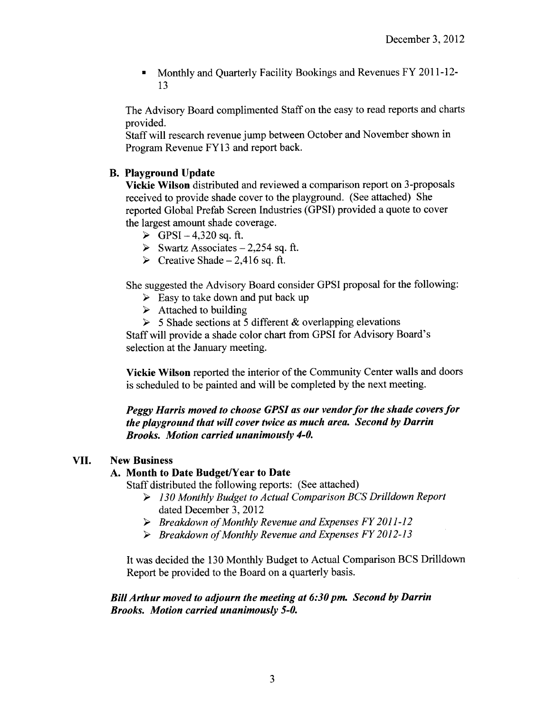Monthly and Quarterly Facility Bookings and Revenues FY 2011 -12-  $\blacksquare$ 13

The Advisory Board complimented Staff on the easy to read reports and charts provided.

Staff will research revenue jump between October and November shown in Program Revenue FY13 and report back.

### B. Playground Update

Vickie Wilson distributed and reviewed a comparison report on 3- proposals received to provide shade cover to the playground. ( See attached) She reported Global Prefab Screen Industries (GPSI) provided a quote to cover the largest amount shade coverage.

- $\triangleright$  GPSI 4,320 sq. ft.
- $\triangleright$  Swartz Associates 2,254 sq. ft.
- $\triangleright$  Creative Shade 2,416 sq. ft.

She suggested the Advisory Board consider GPSI proposal for the following:

- $\triangleright$  Easy to take down and put back up
- $\triangleright$  Attached to building
- $>$  5 Shade sections at 5 different & overlapping elevations

Staff will provide a shade color chart from GPSI for Advisory Board's selection at the January meeting.

Vickie Wilson reported the interior of the Community Center walls and doors is scheduled to be painted and will be completed by the next meeting.

Peggy Harris moved to choose GPSI as our vendor for the shade covers for the playground that will cover twice as much area. Second by Darrin Brooks. Motion carried unanimously 4-0.

#### VII. New Business

#### A. Month to Date Budget/Year to Date

Staff distributed the following reports: ( See attached)

- 130 Monthly Budget to Actual Comparison BCS Drilldown Report dated December 3, 2012
- $\triangleright$  Breakdown of Monthly Revenue and Expenses FY 2011-12
- $\triangleright$  Breakdown of Monthly Revenue and Expenses FY 2012-13

It was decided the 130 Monthly Budget to Actual Comparison BCS Drilldown Report be provided to the Board on a quarterly basis.

#### BillArthur moved to adjourn the meeting at 6:30 pm. Second by Darrin Brooks. Motion carried unanimously 5-0.